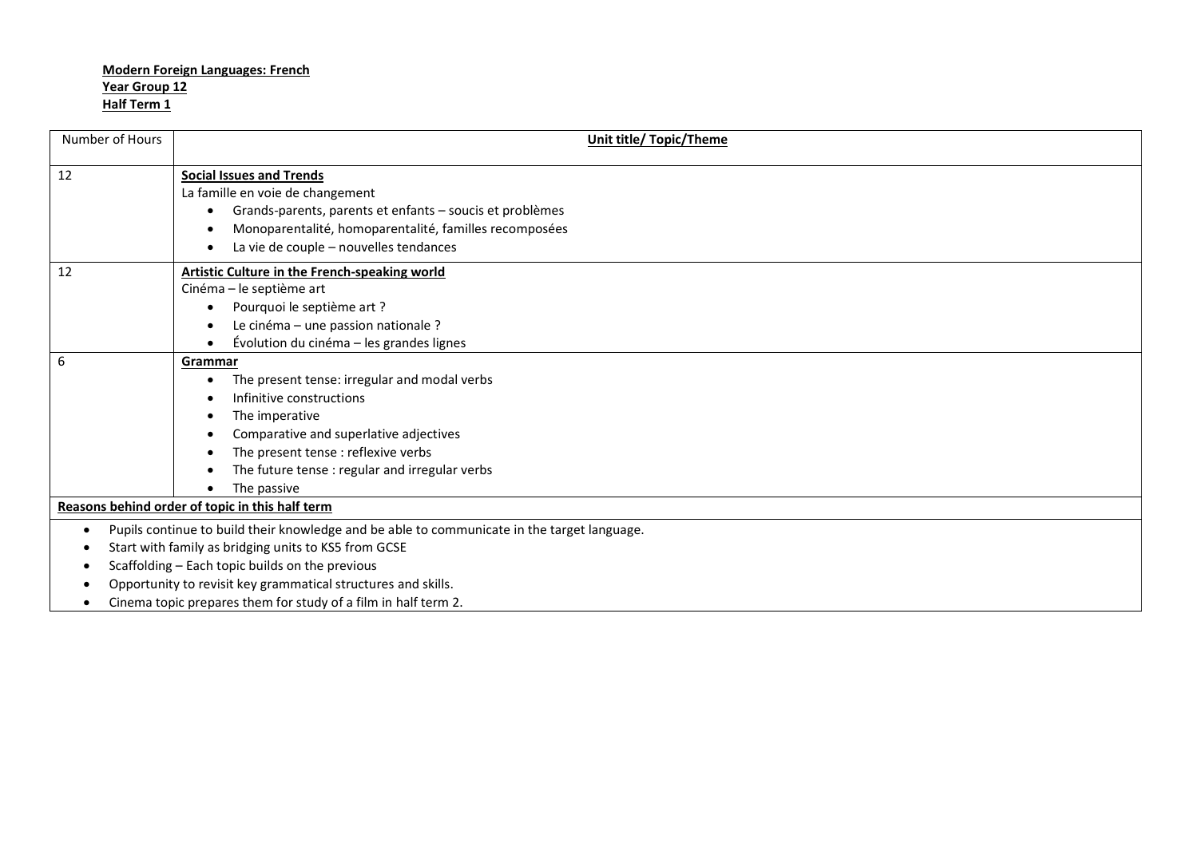| Number of Hours                                      | Unit title/ Topic/Theme                                                                     |  |
|------------------------------------------------------|---------------------------------------------------------------------------------------------|--|
| 12                                                   |                                                                                             |  |
|                                                      | <b>Social Issues and Trends</b><br>La famille en voie de changement                         |  |
|                                                      |                                                                                             |  |
|                                                      | Grands-parents, parents et enfants - soucis et problèmes<br>$\bullet$                       |  |
|                                                      | Monoparentalité, homoparentalité, familles recomposées                                      |  |
|                                                      | La vie de couple - nouvelles tendances                                                      |  |
| 12                                                   | <b>Artistic Culture in the French-speaking world</b>                                        |  |
|                                                      | Cinéma - le septième art                                                                    |  |
|                                                      | Pourquoi le septième art ?<br>$\bullet$                                                     |  |
|                                                      | Le cinéma - une passion nationale ?                                                         |  |
|                                                      | Évolution du cinéma - les grandes lignes                                                    |  |
| 6                                                    | Grammar                                                                                     |  |
|                                                      | The present tense: irregular and modal verbs                                                |  |
|                                                      | Infinitive constructions                                                                    |  |
|                                                      | The imperative<br>٠                                                                         |  |
|                                                      | Comparative and superlative adjectives                                                      |  |
|                                                      | The present tense : reflexive verbs                                                         |  |
|                                                      | The future tense : regular and irregular verbs                                              |  |
|                                                      | The passive                                                                                 |  |
|                                                      | Reasons behind order of topic in this half term                                             |  |
| $\bullet$                                            | Pupils continue to build their knowledge and be able to communicate in the target language. |  |
| Start with family as bridging units to KS5 from GCSE |                                                                                             |  |
|                                                      | Scaffolding - Each topic builds on the previous                                             |  |
|                                                      | Opportunity to revisit key grammatical structures and skills.                               |  |
|                                                      | Cinema topic prepares them for study of a film in half term 2.                              |  |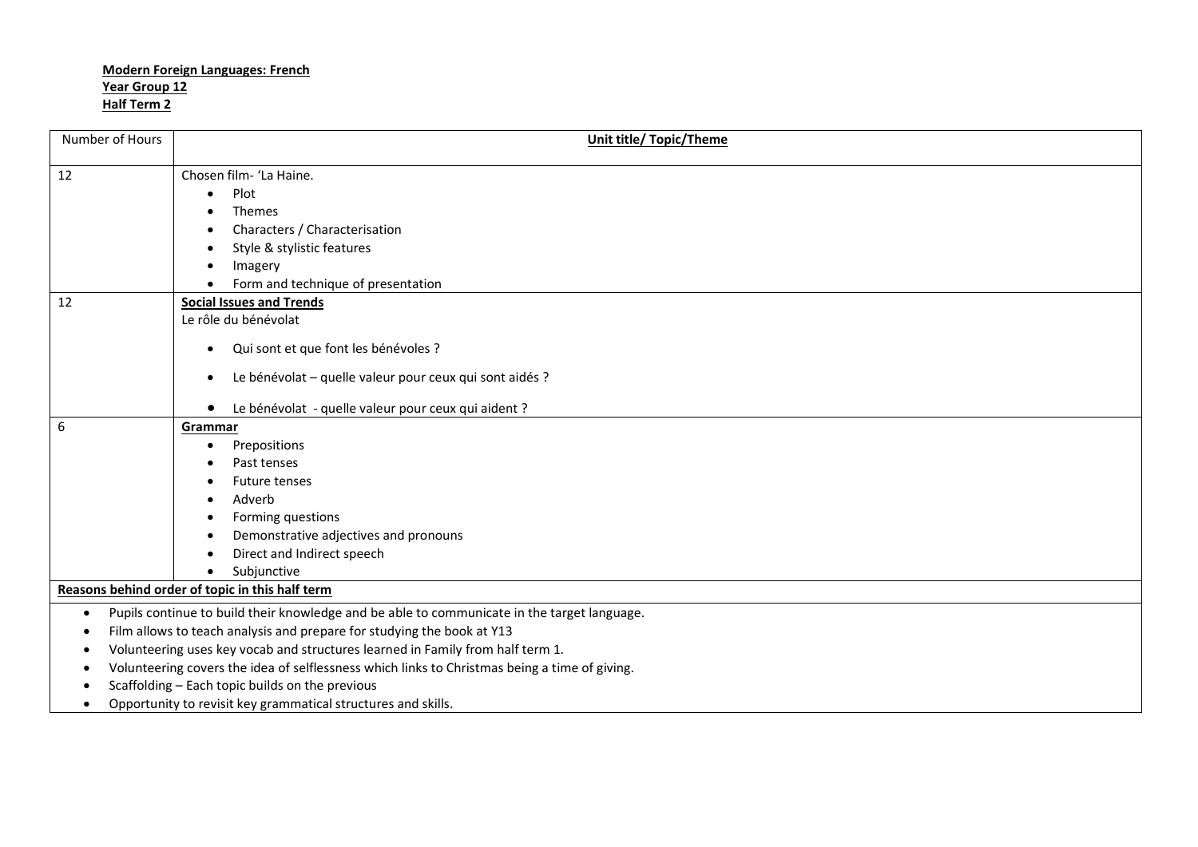| Number of Hours                                                                                          | <b>Unit title/ Topic/Theme</b>                                                                |  |
|----------------------------------------------------------------------------------------------------------|-----------------------------------------------------------------------------------------------|--|
| 12                                                                                                       | Chosen film- 'La Haine.                                                                       |  |
|                                                                                                          | Plot<br>$\bullet$                                                                             |  |
|                                                                                                          | Themes                                                                                        |  |
|                                                                                                          | Characters / Characterisation<br>$\bullet$                                                    |  |
|                                                                                                          | Style & stylistic features                                                                    |  |
|                                                                                                          | Imagery                                                                                       |  |
|                                                                                                          | Form and technique of presentation                                                            |  |
| 12                                                                                                       | <b>Social Issues and Trends</b>                                                               |  |
|                                                                                                          | Le rôle du bénévolat                                                                          |  |
|                                                                                                          | Qui sont et que font les bénévoles ?<br>$\bullet$                                             |  |
|                                                                                                          | Le bénévolat - quelle valeur pour ceux qui sont aidés ?<br>$\bullet$                          |  |
|                                                                                                          | Le bénévolat - quelle valeur pour ceux qui aident ?<br>$\bullet$                              |  |
| $6\phantom{1}6$                                                                                          | Grammar                                                                                       |  |
|                                                                                                          | Prepositions<br>$\bullet$                                                                     |  |
|                                                                                                          | Past tenses                                                                                   |  |
|                                                                                                          | <b>Future tenses</b><br>٠                                                                     |  |
|                                                                                                          | Adverb                                                                                        |  |
|                                                                                                          | Forming questions                                                                             |  |
|                                                                                                          | Demonstrative adjectives and pronouns                                                         |  |
|                                                                                                          | Direct and Indirect speech                                                                    |  |
|                                                                                                          | Subjunctive<br>$\bullet$                                                                      |  |
|                                                                                                          | Reasons behind order of topic in this half term                                               |  |
| Pupils continue to build their knowledge and be able to communicate in the target language.<br>$\bullet$ |                                                                                               |  |
| $\bullet$                                                                                                | Film allows to teach analysis and prepare for studying the book at Y13                        |  |
|                                                                                                          | Volunteering uses key vocab and structures learned in Family from half term 1.                |  |
|                                                                                                          | Volunteering covers the idea of selflessness which links to Christmas being a time of giving. |  |
|                                                                                                          | Scaffolding - Each topic builds on the previous                                               |  |
| $\bullet$                                                                                                | Opportunity to revisit key grammatical structures and skills.                                 |  |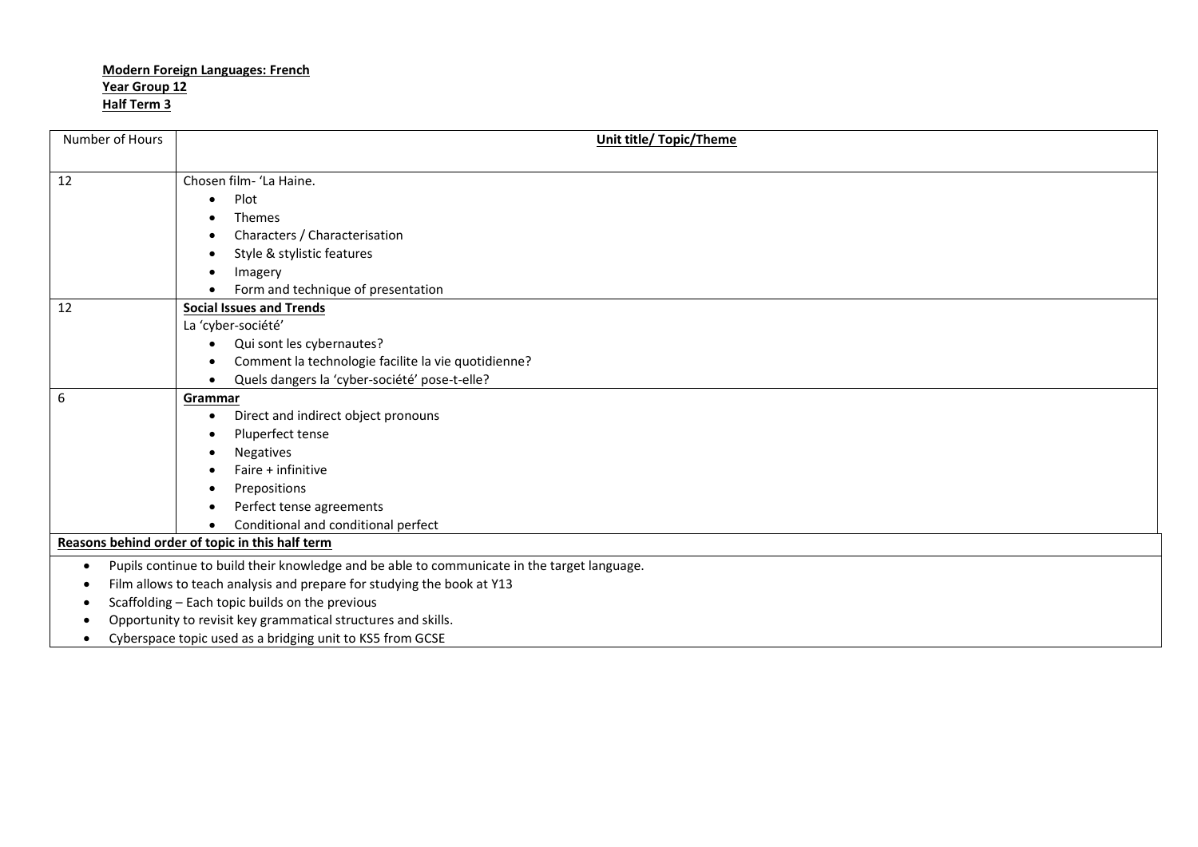| Number of Hours                                                        | <b>Unit title/ Topic/Theme</b>                                                              |  |
|------------------------------------------------------------------------|---------------------------------------------------------------------------------------------|--|
|                                                                        |                                                                                             |  |
| 12                                                                     | Chosen film- 'La Haine.                                                                     |  |
|                                                                        | Plot<br>$\bullet$                                                                           |  |
|                                                                        | <b>Themes</b>                                                                               |  |
|                                                                        | Characters / Characterisation                                                               |  |
|                                                                        | Style & stylistic features                                                                  |  |
|                                                                        | Imagery                                                                                     |  |
|                                                                        | Form and technique of presentation                                                          |  |
| 12                                                                     | <b>Social Issues and Trends</b>                                                             |  |
|                                                                        | La 'cyber-société'                                                                          |  |
|                                                                        | Qui sont les cybernautes?                                                                   |  |
|                                                                        | Comment la technologie facilite la vie quotidienne?                                         |  |
|                                                                        | Quels dangers la 'cyber-société' pose-t-elle?                                               |  |
| 6                                                                      | Grammar                                                                                     |  |
|                                                                        | Direct and indirect object pronouns<br>$\bullet$                                            |  |
|                                                                        | Pluperfect tense                                                                            |  |
|                                                                        | <b>Negatives</b>                                                                            |  |
|                                                                        | Faire + infinitive                                                                          |  |
|                                                                        | Prepositions                                                                                |  |
|                                                                        | Perfect tense agreements                                                                    |  |
|                                                                        | Conditional and conditional perfect                                                         |  |
|                                                                        | Reasons behind order of topic in this half term                                             |  |
| $\bullet$                                                              | Pupils continue to build their knowledge and be able to communicate in the target language. |  |
| Film allows to teach analysis and prepare for studying the book at Y13 |                                                                                             |  |
|                                                                        | Scaffolding - Each topic builds on the previous                                             |  |
|                                                                        | Opportunity to revisit key grammatical structures and skills.                               |  |
|                                                                        | Cyberspace topic used as a bridging unit to KS5 from GCSE                                   |  |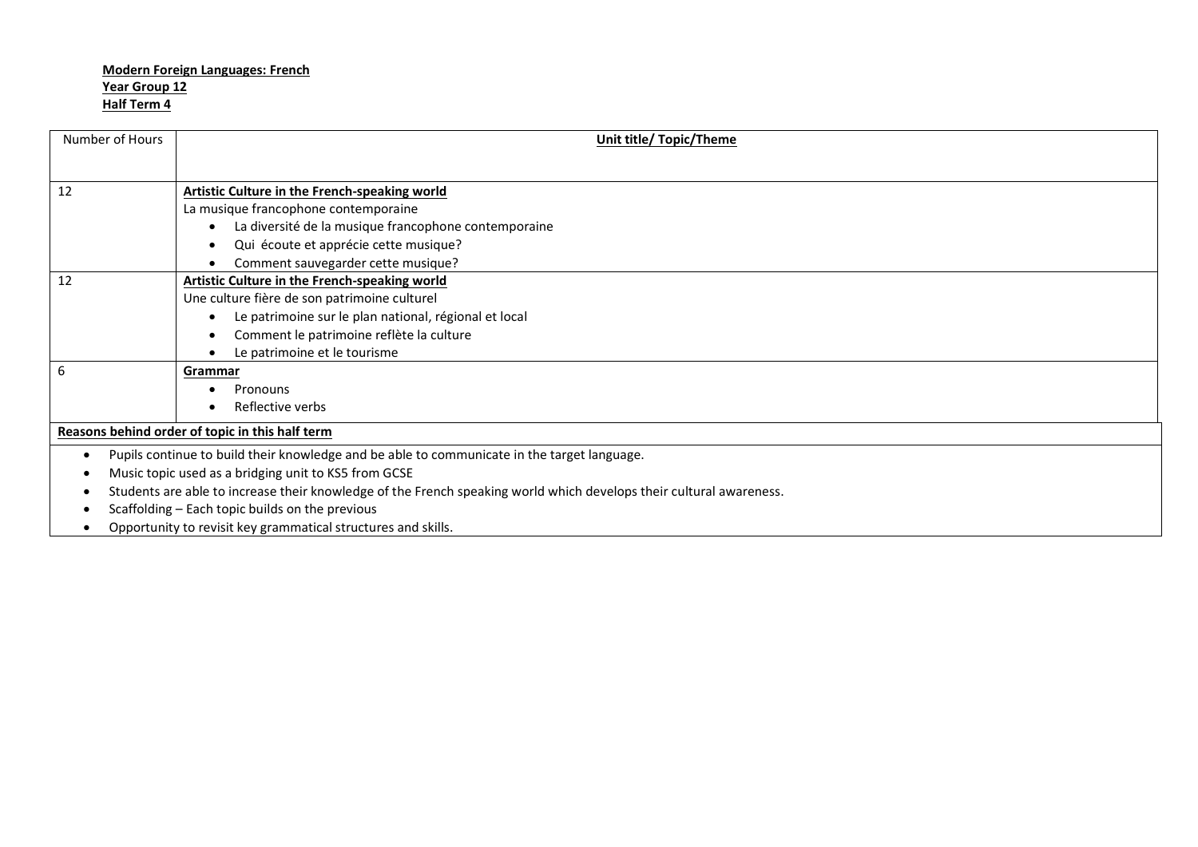| Number of Hours | Unit title/ Topic/Theme                                                                                             |  |
|-----------------|---------------------------------------------------------------------------------------------------------------------|--|
|                 |                                                                                                                     |  |
| 12              | Artistic Culture in the French-speaking world                                                                       |  |
|                 | La musique francophone contemporaine                                                                                |  |
|                 | La diversité de la musique francophone contemporaine                                                                |  |
|                 | Qui écoute et apprécie cette musique?                                                                               |  |
|                 | Comment sauvegarder cette musique?                                                                                  |  |
| 12              | Artistic Culture in the French-speaking world                                                                       |  |
|                 | Une culture fière de son patrimoine culturel                                                                        |  |
|                 | Le patrimoine sur le plan national, régional et local                                                               |  |
|                 | Comment le patrimoine reflète la culture                                                                            |  |
|                 | Le patrimoine et le tourisme                                                                                        |  |
| 6               | Grammar                                                                                                             |  |
|                 | Pronouns                                                                                                            |  |
|                 | Reflective verbs                                                                                                    |  |
|                 | Reasons behind order of topic in this half term                                                                     |  |
| ٠               | Pupils continue to build their knowledge and be able to communicate in the target language.                         |  |
|                 | Music topic used as a bridging unit to KS5 from GCSE                                                                |  |
|                 | Students are able to increase their knowledge of the French speaking world which develops their cultural awareness. |  |
|                 | Scaffolding - Each topic builds on the previous                                                                     |  |
|                 | Opportunity to revisit key grammatical structures and skills.                                                       |  |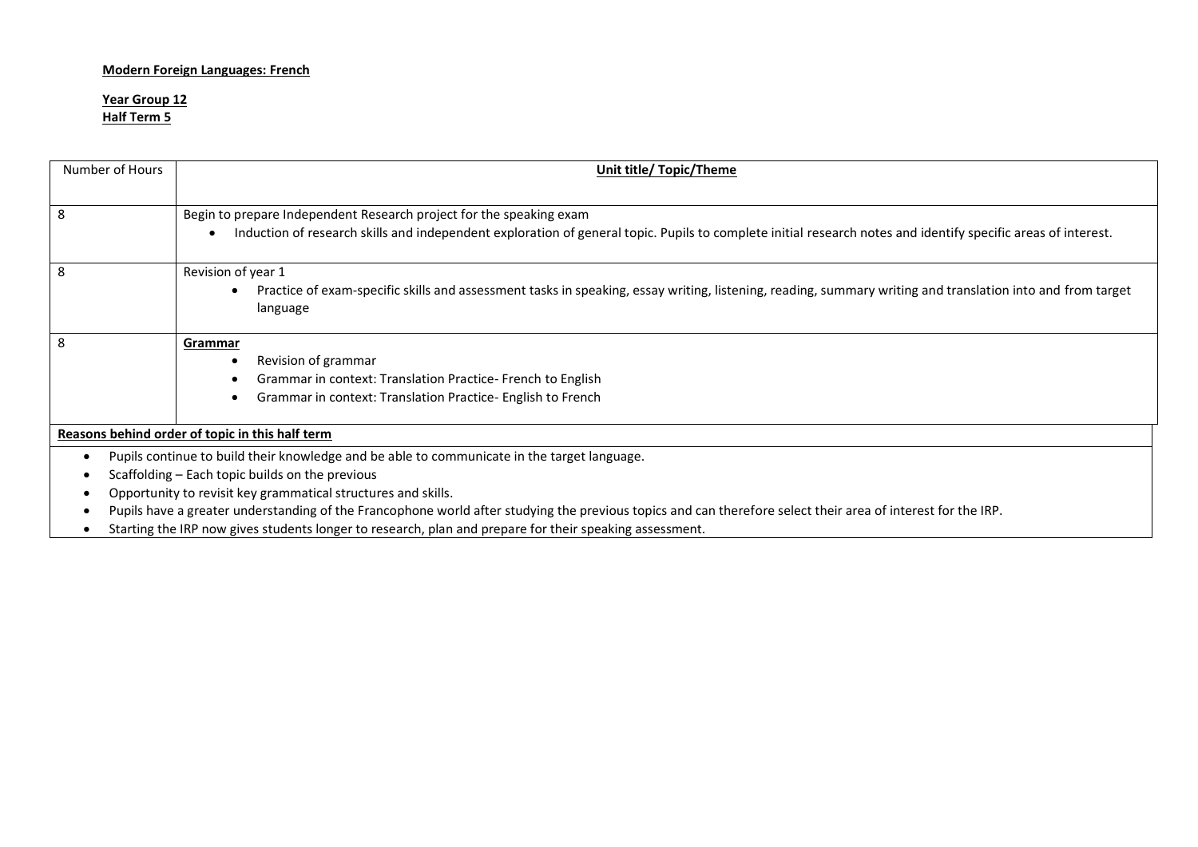#### **Year Group 12 Half Term 5**

| Number of Hours                                               | <b>Unit title/ Topic/Theme</b>                                                                                                                                         |  |  |
|---------------------------------------------------------------|------------------------------------------------------------------------------------------------------------------------------------------------------------------------|--|--|
|                                                               |                                                                                                                                                                        |  |  |
| 8                                                             | Begin to prepare Independent Research project for the speaking exam                                                                                                    |  |  |
|                                                               | Induction of research skills and independent exploration of general topic. Pupils to complete initial research notes and identify specific areas of interest.          |  |  |
| 8                                                             | Revision of year 1                                                                                                                                                     |  |  |
|                                                               | Practice of exam-specific skills and assessment tasks in speaking, essay writing, listening, reading, summary writing and translation into and from target<br>language |  |  |
|                                                               |                                                                                                                                                                        |  |  |
| 8                                                             | <b>Grammar</b>                                                                                                                                                         |  |  |
|                                                               | Revision of grammar<br>٠                                                                                                                                               |  |  |
|                                                               | Grammar in context: Translation Practice-French to English                                                                                                             |  |  |
|                                                               | Grammar in context: Translation Practice- English to French                                                                                                            |  |  |
|                                                               | Reasons behind order of topic in this half term                                                                                                                        |  |  |
|                                                               | Pupils continue to build their knowledge and be able to communicate in the target language.                                                                            |  |  |
|                                                               | Scaffolding - Each topic builds on the previous                                                                                                                        |  |  |
| Opportunity to revisit key grammatical structures and skills. |                                                                                                                                                                        |  |  |
|                                                               | Pupils have a greater understanding of the Francophone world after studying the previous topics and can therefore select their area of interest for the IRP.           |  |  |
|                                                               | Starting the IRP now gives students longer to research, plan and prepare for their speaking assessment.                                                                |  |  |